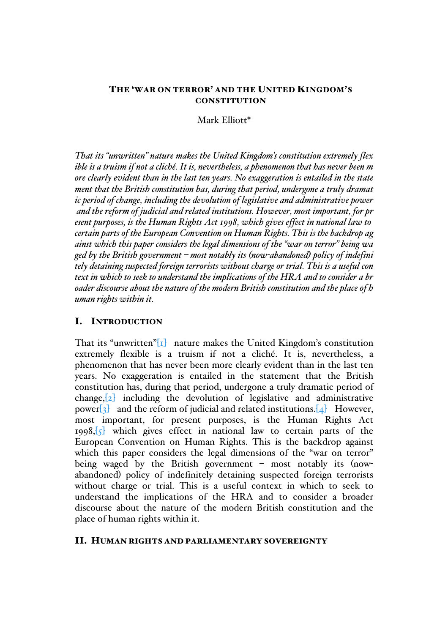### THE 'WAR ON TERROR' AND THE UNITED KINGDOM'S **CONSTITUTION**

Mark Elliott\*

*That its "unwritten" nature makes the United Kingdom's constitution extremely flex ible is a truism if not a cliché. It is, nevertheless, a phenomenon that has never been m ore clearly evident than in the last ten years. No exaggeration is entailed in the state ment that the British constitution has, during that period, undergone a truly dramat ic period of change, including the devolution of legislative and administrative power and the reform of judicial and related institutions. However, most important, for pr esent purposes, is the Human Rights Act 1998, which gives effect in national law to certain parts of the European Convention on Human Rights. This is the backdrop ag ainst which this paper considers the legal dimensions of the "war on terror" being wa ged by the British government – most notably its (now-abandoned) policy of indefini tely detaining suspected foreign terrorists without charge or trial. This is a useful con text in which to seek to understand the implications of the HRA and to consider a br oader discourse about the nature of the modern British constitution and the place of h uman rights within it.*

### I. INTRODUCTION

That its "unwritten" $[I]$  nature makes the United Kingdom's constitution extremely flexible is a truism if not a cliché. It is, nevertheless, a phenomenon that has never been more clearly evident than in the last ten years. No exaggeration is entailed in the statement that the British constitution has, during that period, undergone a truly dramatic period of change, $[2]$  including the devolution of legislative and administrative power $\begin{bmatrix}3\end{bmatrix}$  and the reform of judicial and related institutions. $\begin{bmatrix}4\end{bmatrix}$  However, most important, for present purposes, is the Human Rights Act 1998, $\sqrt{5}$  which gives effect in national law to certain parts of the European Convention on Human Rights. This is the backdrop against which this paper considers the legal dimensions of the "war on terror" being waged by the British government – most notably its (nowabandoned) policy of indefinitely detaining suspected foreign terrorists without charge or trial. This is a useful context in which to seek to understand the implications of the HRA and to consider a broader discourse about the nature of the modern British constitution and the place of human rights within it.

#### II. HUMAN RIGHTS AND PARLIAMENTARY SOVEREIGNTY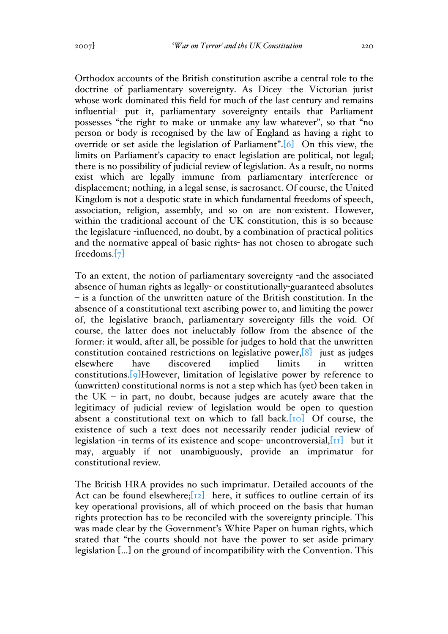Orthodox accounts of the British constitution ascribe a central role to the doctrine of parliamentary sovereignty. As Dicey -the Victorian jurist whose work dominated this field for much of the last century and remains influential- put it, parliamentary sovereignty entails that Parliament possesses "the right to make or unmake any law whatever", so that "no person or body is recognised by the law of England as having a right to override or set aside the legislation of Parliament".[6] On this view, the limits on Parliament's capacity to enact legislation are political, not legal; there is no possibility of judicial review of legislation. As a result, no norms exist which are legally immune from parliamentary interference or displacement; nothing, in a legal sense, is sacrosanct. Of course, the United Kingdom is not a despotic state in which fundamental freedoms of speech, association, religion, assembly, and so on are non-existent. However, within the traditional account of the UK constitution, this is so because the legislature -influenced, no doubt, by a combination of practical politics and the normative appeal of basic rights- has not chosen to abrogate such freedoms.[7]

To an extent, the notion of parliamentary sovereignty -and the associated absence of human rights as legally- or constitutionally-guaranteed absolutes – is a function of the unwritten nature of the British constitution. In the absence of a constitutional text ascribing power to, and limiting the power of, the legislative branch, parliamentary sovereignty fills the void. Of course, the latter does not ineluctably follow from the absence of the former: it would, after all, be possible for judges to hold that the unwritten constitution contained restrictions on legislative power,  $[8]$  just as judges elsewhere have discovered implied limits in written constitutions.[9]However, limitation of legislative power by reference to (unwritten) constitutional norms is not a step which has (yet) been taken in the UK – in part, no doubt, because judges are acutely aware that the legitimacy of judicial review of legislation would be open to question absent a constitutional text on which to fall back. $[10]$  Of course, the existence of such a text does not necessarily render judicial review of legislation -in terms of its existence and scope- uncontroversial, $\begin{bmatrix} \Pi \end{bmatrix}$  but it may, arguably if not unambiguously, provide an imprimatur for constitutional review.

The British HRA provides no such imprimatur. Detailed accounts of the Act can be found elsewhere;  $\begin{bmatrix} 12 \end{bmatrix}$  here, it suffices to outline certain of its key operational provisions, all of which proceed on the basis that human rights protection has to be reconciled with the sovereignty principle. This was made clear by the Government's White Paper on human rights, which stated that "the courts should not have the power to set aside primary legislation […] on the ground of incompatibility with the Convention. This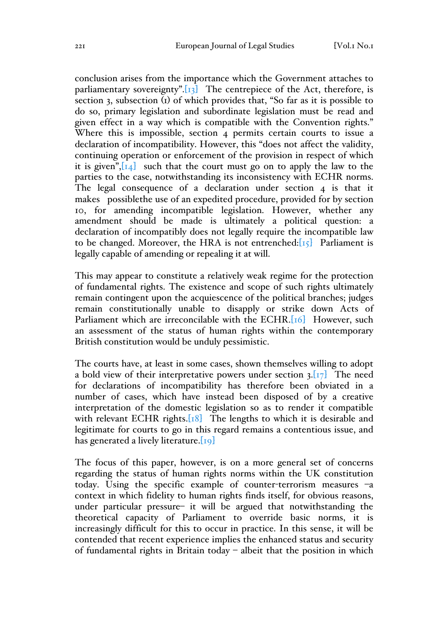conclusion arises from the importance which the Government attaches to parliamentary sovereignty". $\begin{bmatrix} 13 \end{bmatrix}$  The centrepiece of the Act, therefore, is section 3, subsection (1) of which provides that, "So far as it is possible to do so, primary legislation and subordinate legislation must be read and given effect in a way which is compatible with the Convention rights." Where this is impossible, section 4 permits certain courts to issue a declaration of incompatibility. However, this "does not affect the validity, continuing operation or enforcement of the provision in respect of which it is given", $\boxed{14}$  such that the court must go on to apply the law to the parties to the case, notwithstanding its inconsistency with ECHR norms. The legal consequence of a declaration under section 4 is that it makes possiblethe use of an expedited procedure, provided for by section 10, for amending incompatible legislation. However, whether any amendment should be made is ultimately a political question: a declaration of incompatibly does not legally require the incompatible law to be changed. Moreover, the HRA is not entrenched: $[r_5]$  Parliament is legally capable of amending or repealing it at will.

This may appear to constitute a relatively weak regime for the protection of fundamental rights. The existence and scope of such rights ultimately remain contingent upon the acquiescence of the political branches; judges remain constitutionally unable to disapply or strike down Acts of Parliament which are irreconcilable with the ECHR.[16] However, such an assessment of the status of human rights within the contemporary British constitution would be unduly pessimistic.

The courts have, at least in some cases, shown themselves willing to adopt a bold view of their interpretative powers under section  $3.17$  The need for declarations of incompatibility has therefore been obviated in a number of cases, which have instead been disposed of by a creative interpretation of the domestic legislation so as to render it compatible with relevant ECHR rights. $[18]$  The lengths to which it is desirable and legitimate for courts to go in this regard remains a contentious issue, and has generated a lively literature. $[19]$ 

The focus of this paper, however, is on a more general set of concerns regarding the status of human rights norms within the UK constitution today. Using the specific example of counter-terrorism measures –a context in which fidelity to human rights finds itself, for obvious reasons, under particular pressure– it will be argued that notwithstanding the theoretical capacity of Parliament to override basic norms, it is increasingly difficult for this to occur in practice. In this sense, it will be contended that recent experience implies the enhanced status and security of fundamental rights in Britain today – albeit that the position in which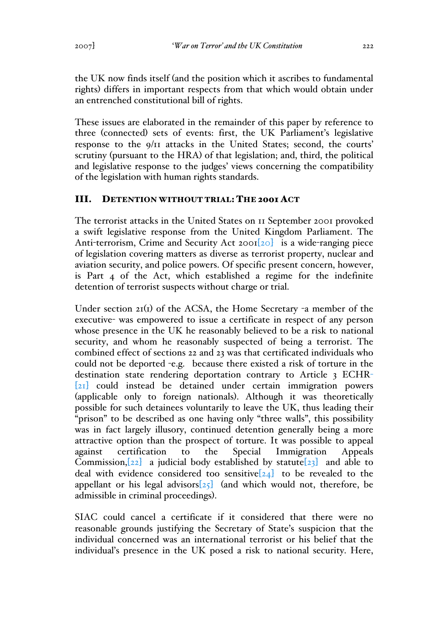the UK now finds itself (and the position which it ascribes to fundamental rights) differs in important respects from that which would obtain under an entrenched constitutional bill of rights.

These issues are elaborated in the remainder of this paper by reference to three (connected) sets of events: first, the UK Parliament's legislative response to the 9/11 attacks in the United States; second, the courts' scrutiny (pursuant to the HRA) of that legislation; and, third, the political and legislative response to the judges' views concerning the compatibility of the legislation with human rights standards.

## III. DETENTION WITHOUT TRIAL: THE 2001 ACT

The terrorist attacks in the United States on 11 September 2001 provoked a swift legislative response from the United Kingdom Parliament. The Anti-terrorism, Crime and Security Act 2001<sup>[20]</sup> is a wide-ranging piece of legislation covering matters as diverse as terrorist property, nuclear and aviation security, and police powers. Of specific present concern, however, is Part 4 of the Act, which established a regime for the indefinite detention of terrorist suspects without charge or trial.

Under section 21(1) of the ACSA, the Home Secretary -a member of the executive- was empowered to issue a certificate in respect of any person whose presence in the UK he reasonably believed to be a risk to national security, and whom he reasonably suspected of being a terrorist. The combined effect of sections 22 and 23 was that certificated individuals who could not be deported -e.g. because there existed a risk of torture in the destination state rendering deportation contrary to Article 3 ECHR- [21] could instead be detained under certain immigration powers (applicable only to foreign nationals). Although it was theoretically possible for such detainees voluntarily to leave the UK, thus leading their "prison" to be described as one having only "three walls", this possibility was in fact largely illusory, continued detention generally being a more attractive option than the prospect of torture. It was possible to appeal against certification to the Special Immigration Appeals Commission, $[22]$  a judicial body established by statute  $[23]$  and able to deal with evidence considered too sensitive $[24]$  to be revealed to the appellant or his legal advisors $[25]$  (and which would not, therefore, be admissible in criminal proceedings).

SIAC could cancel a certificate if it considered that there were no reasonable grounds justifying the Secretary of State's suspicion that the individual concerned was an international terrorist or his belief that the individual's presence in the UK posed a risk to national security. Here,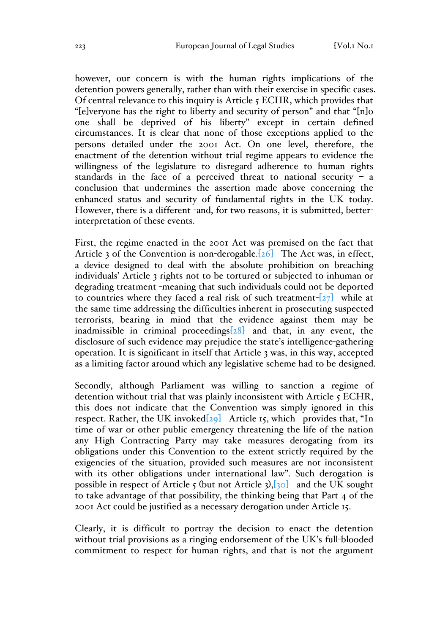however, our concern is with the human rights implications of the detention powers generally, rather than with their exercise in specific cases. Of central relevance to this inquiry is Article 5 ECHR, which provides that "[e]veryone has the right to liberty and security of person" and that "[n]o one shall be deprived of his liberty" except in certain defined circumstances. It is clear that none of those exceptions applied to the persons detailed under the 2001 Act. On one level, therefore, the enactment of the detention without trial regime appears to evidence the willingness of the legislature to disregard adherence to human rights standards in the face of a perceived threat to national security  $-$  a conclusion that undermines the assertion made above concerning the enhanced status and security of fundamental rights in the UK today. However, there is a different -and, for two reasons, it is submitted, betterinterpretation of these events.

First, the regime enacted in the 2001 Act was premised on the fact that Article 3 of the Convention is non-derogable. $[26]$  The Act was, in effect, a device designed to deal with the absolute prohibition on breaching individuals' Article 3 rights not to be tortured or subjected to inhuman or degrading treatment -meaning that such individuals could not be deported to countries where they faced a real risk of such treatment- $[27]$  while at the same time addressing the difficulties inherent in prosecuting suspected terrorists, bearing in mind that the evidence against them may be inadmissible in criminal proceedings[28] and that, in any event, the disclosure of such evidence may prejudice the state's intelligence-gathering operation. It is significant in itself that Article 3 was, in this way, accepted as a limiting factor around which any legislative scheme had to be designed.

Secondly, although Parliament was willing to sanction a regime of detention without trial that was plainly inconsistent with Article 5 ECHR, this does not indicate that the Convention was simply ignored in this respect. Rather, the UK invoked $[29]$  Article 15, which provides that, "In time of war or other public emergency threatening the life of the nation any High Contracting Party may take measures derogating from its obligations under this Convention to the extent strictly required by the exigencies of the situation, provided such measures are not inconsistent with its other obligations under international law". Such derogation is possible in respect of Article  $\zeta$  (but not Article 3),  $\zeta$ <sub>30</sub> and the UK sought to take advantage of that possibility, the thinking being that Part 4 of the 2001 Act could be justified as a necessary derogation under Article 15.

Clearly, it is difficult to portray the decision to enact the detention without trial provisions as a ringing endorsement of the UK's full-blooded commitment to respect for human rights, and that is not the argument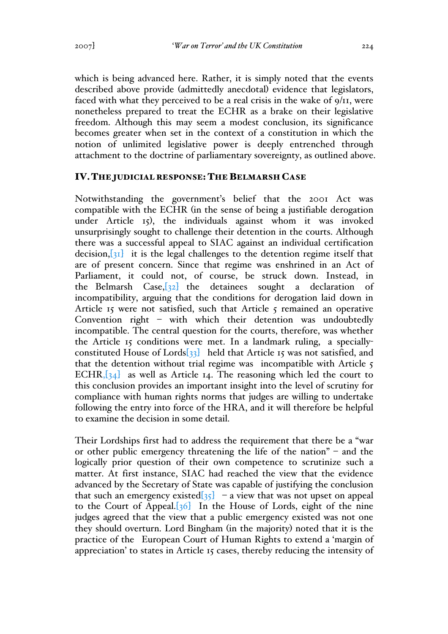which is being advanced here. Rather, it is simply noted that the events described above provide (admittedly anecdotal) evidence that legislators, faced with what they perceived to be a real crisis in the wake of 9/11, were nonetheless prepared to treat the ECHR as a brake on their legislative freedom. Although this may seem a modest conclusion, its significance becomes greater when set in the context of a constitution in which the notion of unlimited legislative power is deeply entrenched through attachment to the doctrine of parliamentary sovereignty, as outlined above.

#### IV.THE JUDICIAL RESPONSE: THE BELMARSH CASE

Notwithstanding the government's belief that the 2001 Act was compatible with the ECHR (in the sense of being a justifiable derogation under Article 15), the individuals against whom it was invoked unsurprisingly sought to challenge their detention in the courts. Although there was a successful appeal to SIAC against an individual certification decision, $\left[31\right]$  it is the legal challenges to the detention regime itself that are of present concern. Since that regime was enshrined in an Act of Parliament, it could not, of course, be struck down. Instead, in the Belmarsh Case, $\left[32\right]$  the detainees sought a declaration of incompatibility, arguing that the conditions for derogation laid down in Article 15 were not satisfied, such that Article  $\zeta$  remained an operative Convention right – with which their detention was undoubtedly incompatible. The central question for the courts, therefore, was whether the Article 15 conditions were met. In a landmark ruling, a speciallyconstituted House of Lords[33] held that Article 15 was not satisfied, and that the detention without trial regime was incompatible with Article 5 ECHR, $[34]$  as well as Article 14. The reasoning which led the court to this conclusion provides an important insight into the level of scrutiny for compliance with human rights norms that judges are willing to undertake following the entry into force of the HRA, and it will therefore be helpful to examine the decision in some detail.

Their Lordships first had to address the requirement that there be a "war or other public emergency threatening the life of the nation" – and the logically prior question of their own competence to scrutinize such a matter. At first instance, SIAC had reached the view that the evidence advanced by the Secretary of State was capable of justifying the conclusion that such an emergency existed $\sqrt{35}$  – a view that was not upset on appeal to the Court of Appeal. $[36]$  In the House of Lords, eight of the nine judges agreed that the view that a public emergency existed was not one they should overturn. Lord Bingham (in the majority) noted that it is the practice of the European Court of Human Rights to extend a 'margin of appreciation' to states in Article 15 cases, thereby reducing the intensity of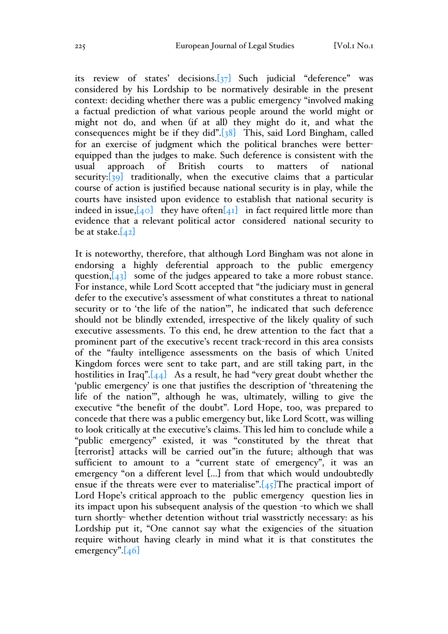its review of states' decisions.[37] Such judicial "deference" was considered by his Lordship to be normatively desirable in the present context: deciding whether there was a public emergency "involved making a factual prediction of what various people around the world might or might not do, and when (if at all) they might do it, and what the consequences might be if they did".[38] This, said Lord Bingham, called for an exercise of judgment which the political branches were betterequipped than the judges to make. Such deference is consistent with the usual approach of British courts to matters of national security: $\begin{bmatrix} 39 \end{bmatrix}$  traditionally, when the executive claims that a particular course of action is justified because national security is in play, while the courts have insisted upon evidence to establish that national security is indeed in issue,  $[40]$  they have often $[41]$  in fact required little more than evidence that a relevant political actor considered national security to be at stake. $[42]$ 

It is noteworthy, therefore, that although Lord Bingham was not alone in endorsing a highly deferential approach to the public emergency question, $[43]$  some of the judges appeared to take a more robust stance. For instance, while Lord Scott accepted that "the judiciary must in general defer to the executive's assessment of what constitutes a threat to national security or to 'the life of the nation'", he indicated that such deference should not be blindly extended, irrespective of the likely quality of such executive assessments. To this end, he drew attention to the fact that a prominent part of the executive's recent track-record in this area consists of the "faulty intelligence assessments on the basis of which United Kingdom forces were sent to take part, and are still taking part, in the hostilities in Iraq". $[44]$  As a result, he had "very great doubt whether the 'public emergency' is one that justifies the description of 'threatening the life of the nation'", although he was, ultimately, willing to give the executive "the benefit of the doubt". Lord Hope, too, was prepared to concede that there was a public emergency but, like Lord Scott, was willing to look critically at the executive's claims. This led him to conclude while a "public emergency" existed, it was "constituted by the threat that [terrorist] attacks will be carried out"in the future; although that was sufficient to amount to a "current state of emergency", it was an emergency "on a different level […] from that which would undoubtedly ensue if the threats were ever to materialise". $[45]$ The practical import of Lord Hope's critical approach to the public emergency question lies in its impact upon his subsequent analysis of the question -to which we shall turn shortly- whether detention without trial wasstrictly necessary: as his Lordship put it, "One cannot say what the exigencies of the situation require without having clearly in mind what it is that constitutes the emergency". $[46]$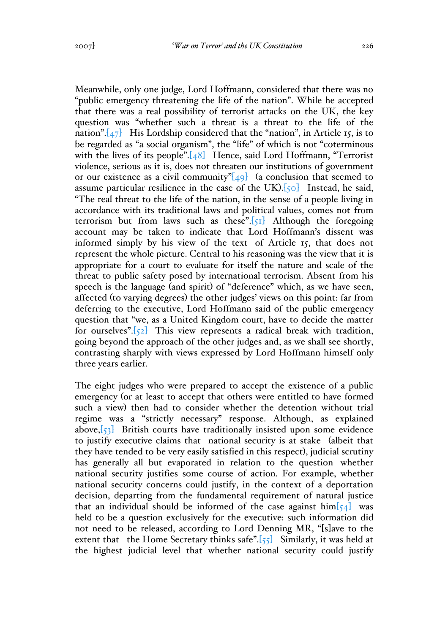Meanwhile, only one judge, Lord Hoffmann, considered that there was no "public emergency threatening the life of the nation". While he accepted that there was a real possibility of terrorist attacks on the UK, the key question was "whether such a threat is a threat to the life of the nation". $[47]$  His Lordship considered that the "nation", in Article 15, is to be regarded as "a social organism", the "life" of which is not "coterminous with the lives of its people". $[48]$  Hence, said Lord Hoffmann, "Terrorist" violence, serious as it is, does not threaten our institutions of government or our existence as a civil community" $[49]$  (a conclusion that seemed to assume particular resilience in the case of the UK). $\left[50\right]$  Instead, he said, "The real threat to the life of the nation, in the sense of a people living in accordance with its traditional laws and political values, comes not from terrorism but from laws such as these". $\lceil 51 \rceil$  Although the foregoing account may be taken to indicate that Lord Hoffmann's dissent was informed simply by his view of the text of Article 15, that does not represent the whole picture. Central to his reasoning was the view that it is appropriate for a court to evaluate for itself the nature and scale of the threat to public safety posed by international terrorism. Absent from his speech is the language (and spirit) of "deference" which, as we have seen, affected (to varying degrees) the other judges' views on this point: far from deferring to the executive, Lord Hoffmann said of the public emergency question that "we, as a United Kingdom court, have to decide the matter for ourselves". $[52]$  This view represents a radical break with tradition, going beyond the approach of the other judges and, as we shall see shortly, contrasting sharply with views expressed by Lord Hoffmann himself only three years earlier.

The eight judges who were prepared to accept the existence of a public emergency (or at least to accept that others were entitled to have formed such a view) then had to consider whether the detention without trial regime was a "strictly necessary" response. Although, as explained above, $\begin{bmatrix} 53 \end{bmatrix}$  British courts have traditionally insisted upon some evidence to justify executive claims that national security is at stake (albeit that they have tended to be very easily satisfied in this respect), judicial scrutiny has generally all but evaporated in relation to the question whether national security justifies some course of action. For example, whether national security concerns could justify, in the context of a deportation decision, departing from the fundamental requirement of natural justice that an individual should be informed of the case against  $\lim_{\epsilon \to 0}$  was held to be a question exclusively for the executive: such information did not need to be released, according to Lord Denning MR, "[s]ave to the extent that the Home Secretary thinks safe". $[55]$  Similarly, it was held at the highest judicial level that whether national security could justify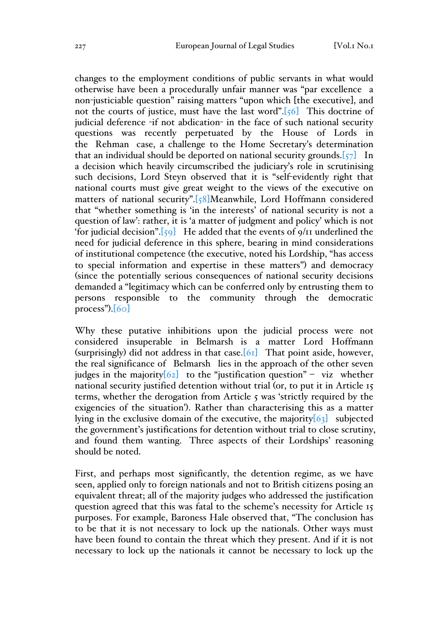changes to the employment conditions of public servants in what would otherwise have been a procedurally unfair manner was "par excellence a non-justiciable question" raising matters "upon which [the executive], and not the courts of justice, must have the last word". $[56]$  This doctrine of judicial deference -if not abdication- in the face of such national security questions was recently perpetuated by the House of Lords in the Rehman case, a challenge to the Home Secretary's determination that an individual should be deported on national security grounds. $[57]$  In a decision which heavily circumscribed the judiciary's role in scrutinising such decisions, Lord Steyn observed that it is "self-evidently right that national courts must give great weight to the views of the executive on matters of national security".[58]Meanwhile, Lord Hoffmann considered that "whether something is 'in the interests' of national security is not a question of law': rather, it is 'a matter of judgment and policy' which is not 'for judicial decision". $[59]$  He added that the events of  $9/11$  underlined the need for judicial deference in this sphere, bearing in mind considerations of institutional competence (the executive, noted his Lordship, "has access to special information and expertise in these matters") and democracy (since the potentially serious consequences of national security decisions demanded a "legitimacy which can be conferred only by entrusting them to persons responsible to the community through the democratic process"). $[60]$ 

Why these putative inhibitions upon the judicial process were not considered insuperable in Belmarsh is a matter Lord Hoffmann (surprisingly) did not address in that case.  $[61]$  That point aside, however, the real significance of Belmarsh lies in the approach of the other seven judges in the majority  $[62]$  to the "justification question" – viz whether national security justified detention without trial (or, to put it in Article 15 terms, whether the derogation from Article 5 was 'strictly required by the exigencies of the situation'). Rather than characterising this as a matter lying in the exclusive domain of the executive, the majority $[63]$  subjected the government's justifications for detention without trial to close scrutiny, and found them wanting. Three aspects of their Lordships' reasoning should be noted.

First, and perhaps most significantly, the detention regime, as we have seen, applied only to foreign nationals and not to British citizens posing an equivalent threat; all of the majority judges who addressed the justification question agreed that this was fatal to the scheme's necessity for Article 15 purposes. For example, Baroness Hale observed that, "The conclusion has to be that it is not necessary to lock up the nationals. Other ways must have been found to contain the threat which they present. And if it is not necessary to lock up the nationals it cannot be necessary to lock up the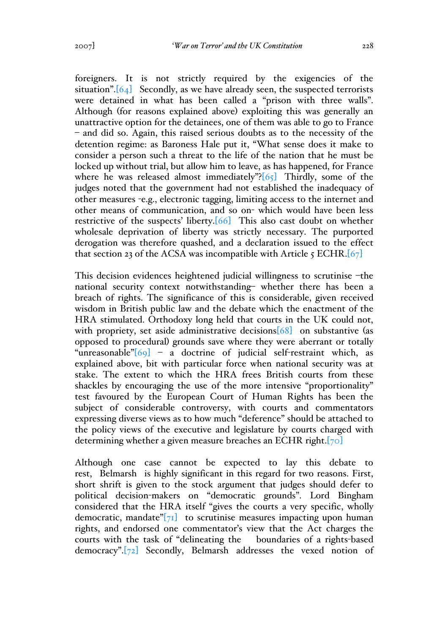foreigners. It is not strictly required by the exigencies of the situation". $[64]$  Secondly, as we have already seen, the suspected terrorists were detained in what has been called a "prison with three walls". Although (for reasons explained above) exploiting this was generally an unattractive option for the detainees, one of them was able to go to France – and did so. Again, this raised serious doubts as to the necessity of the detention regime: as Baroness Hale put it, "What sense does it make to consider a person such a threat to the life of the nation that he must be locked up without trial, but allow him to leave, as has happened, for France where he was released almost immediately"?[65] Thirdly, some of the judges noted that the government had not established the inadequacy of other measures -e.g., electronic tagging, limiting access to the internet and other means of communication, and so on- which would have been less restrictive of the suspects' liberty.[66] This also cast doubt on whether wholesale deprivation of liberty was strictly necessary. The purported derogation was therefore quashed, and a declaration issued to the effect that section 23 of the ACSA was incompatible with Article  $\zeta$  ECHR.[67]

This decision evidences heightened judicial willingness to scrutinise –the national security context notwithstanding– whether there has been a breach of rights. The significance of this is considerable, given received wisdom in British public law and the debate which the enactment of the HRA stimulated. Orthodoxy long held that courts in the UK could not, with propriety, set aside administrative decisions  $[68]$  on substantive (as opposed to procedural) grounds save where they were aberrant or totally "unreasonable" $[69]$  – a doctrine of judicial self-restraint which, as explained above, bit with particular force when national security was at stake. The extent to which the HRA frees British courts from these shackles by encouraging the use of the more intensive "proportionality" test favoured by the European Court of Human Rights has been the subject of considerable controversy, with courts and commentators expressing diverse views as to how much "deference" should be attached to the policy views of the executive and legislature by courts charged with determining whether a given measure breaches an ECHR right.[70]

Although one case cannot be expected to lay this debate to rest, Belmarsh is highly significant in this regard for two reasons. First, short shrift is given to the stock argument that judges should defer to political decision-makers on "democratic grounds". Lord Bingham considered that the HRA itself "gives the courts a very specific, wholly democratic, mandate  $\sqrt{71}$  to scrutinise measures impacting upon human rights, and endorsed one commentator's view that the Act charges the courts with the task of "delineating the boundaries of a rights-based democracy".[72] Secondly, Belmarsh addresses the vexed notion of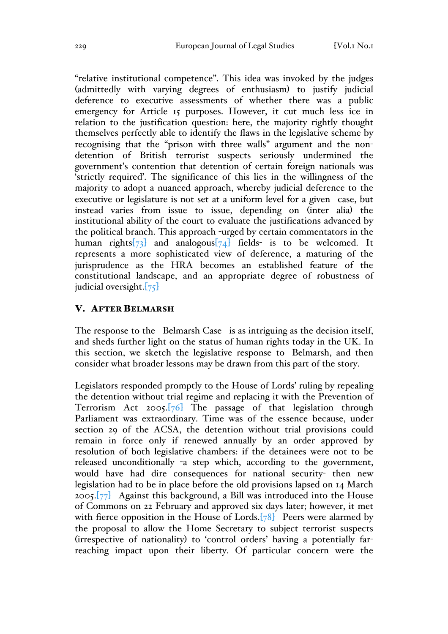"relative institutional competence". This idea was invoked by the judges (admittedly with varying degrees of enthusiasm) to justify judicial deference to executive assessments of whether there was a public emergency for Article 15 purposes. However, it cut much less ice in relation to the justification question: here, the majority rightly thought themselves perfectly able to identify the flaws in the legislative scheme by recognising that the "prison with three walls" argument and the nondetention of British terrorist suspects seriously undermined the government's contention that detention of certain foreign nationals was 'strictly required'. The significance of this lies in the willingness of the majority to adopt a nuanced approach, whereby judicial deference to the executive or legislature is not set at a uniform level for a given case, but instead varies from issue to issue, depending on (inter alia) the institutional ability of the court to evaluate the justifications advanced by the political branch. This approach -urged by certain commentators in the human rights $\sqrt{73}$  and analogous $\sqrt{74}$  fields- is to be welcomed. It represents a more sophisticated view of deference, a maturing of the jurisprudence as the HRA becomes an established feature of the constitutional landscape, and an appropriate degree of robustness of judicial oversight.[75]

#### V. AFTER BELMARSH

The response to the Belmarsh Case is as intriguing as the decision itself, and sheds further light on the status of human rights today in the UK. In this section, we sketch the legislative response to Belmarsh, and then consider what broader lessons may be drawn from this part of the story.

Legislators responded promptly to the House of Lords' ruling by repealing the detention without trial regime and replacing it with the Prevention of Terrorism Act  $2005.\overline{76}$  The passage of that legislation through Parliament was extraordinary. Time was of the essence because, under section 29 of the ACSA, the detention without trial provisions could remain in force only if renewed annually by an order approved by resolution of both legislative chambers: if the detainees were not to be released unconditionally -a step which, according to the government, would have had dire consequences for national security- then new legislation had to be in place before the old provisions lapsed on 14 March 2005. $[77]$  Against this background, a Bill was introduced into the House of Commons on 22 February and approved six days later; however, it met with fierce opposition in the House of Lords. $[78]$  Peers were alarmed by the proposal to allow the Home Secretary to subject terrorist suspects (irrespective of nationality) to 'control orders' having a potentially farreaching impact upon their liberty. Of particular concern were the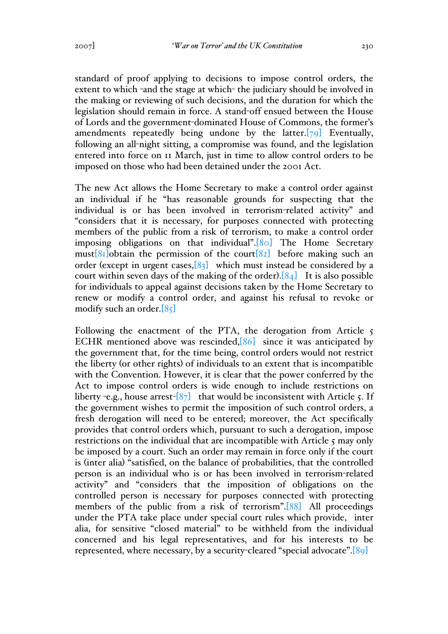standard of proof applying to decisions to impose control orders, the extent to which -and the stage at which- the judiciary should be involved in the making or reviewing of such decisions, and the duration for which the legislation should remain in force. A stand-off ensued between the House of Lords and the government-dominated House of Commons, the former's amendments repeatedly being undone by the latter.[79] Eventually, following an all-night sitting, a compromise was found, and the legislation entered into force on 11 March, just in time to allow control orders to be imposed on those who had been detained under the 2001 Act.

The new Act allows the Home Secretary to make a control order against an individual if he "has reasonable grounds for suspecting that the individual is or has been involved in terrorism-related activity" and "considers that it is necessary, for purposes connected with protecting members of the public from a risk of terrorism, to make a control order imposing obligations on that individual".[80] The Home Secretary must[ $81$ ]obtain the permission of the court[ $82$ ] before making such an order (except in urgent cases,  $[83]$  which must instead be considered by a court within seven days of the making of the order). $[84]$  It is also possible for individuals to appeal against decisions taken by the Home Secretary to renew or modify a control order, and against his refusal to revoke or modify such an order.[85]

Following the enactment of the PTA, the derogation from Article 5 ECHR mentioned above was rescinded, [86] since it was anticipated by the government that, for the time being, control orders would not restrict the liberty (or other rights) of individuals to an extent that is incompatible with the Convention. However, it is clear that the power conferred by the Act to impose control orders is wide enough to include restrictions on liberty -e.g., house arrest- $[87]$  that would be inconsistent with Article 5. If the government wishes to permit the imposition of such control orders, a fresh derogation will need to be entered; moreover, the Act specifically provides that control orders which, pursuant to such a derogation, impose restrictions on the individual that are incompatible with Article 5 may only be imposed by a court. Such an order may remain in force only if the court is (inter alia) "satisfied, on the balance of probabilities, that the controlled person is an individual who is or has been involved in terrorism-related activity" and "considers that the imposition of obligations on the controlled person is necessary for purposes connected with protecting members of the public from a risk of terrorism".[88] All proceedings under the PTA take place under special court rules which provide, inter alia, for sensitive "closed material" to be withheld from the individual concerned and his legal representatives, and for his interests to be represented, where necessary, by a security-cleared "special advocate".[89]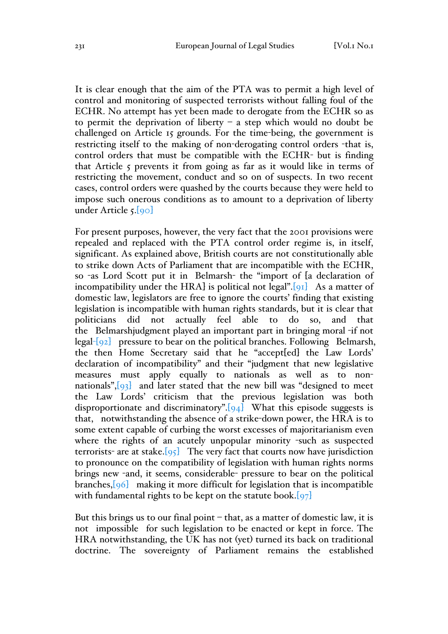It is clear enough that the aim of the PTA was to permit a high level of control and monitoring of suspected terrorists without falling foul of the ECHR. No attempt has yet been made to derogate from the ECHR so as to permit the deprivation of liberty  $-$  a step which would no doubt be challenged on Article 15 grounds. For the time-being, the government is restricting itself to the making of non-derogating control orders -that is, control orders that must be compatible with the ECHR- but is finding that Article 5 prevents it from going as far as it would like in terms of restricting the movement, conduct and so on of suspects. In two recent cases, control orders were quashed by the courts because they were held to impose such onerous conditions as to amount to a deprivation of liberty under Article 5.[90]

For present purposes, however, the very fact that the 2001 provisions were repealed and replaced with the PTA control order regime is, in itself, significant. As explained above, British courts are not constitutionally able to strike down Acts of Parliament that are incompatible with the ECHR, so -as Lord Scott put it in Belmarsh- the "import of [a declaration of incompatibility under the HRA] is political not legal". $[91]$  As a matter of domestic law, legislators are free to ignore the courts' finding that existing legislation is incompatible with human rights standards, but it is clear that politicians did not actually feel able to do so, and that the Belmarshjudgment played an important part in bringing moral -if not legal- $\lceil 92 \rceil$  pressure to bear on the political branches. Following Belmarsh, the then Home Secretary said that he "accept[ed] the Law Lords' declaration of incompatibility" and their "judgment that new legislative measures must apply equally to nationals as well as to nonnationals", $[93]$  and later stated that the new bill was "designed to meet the Law Lords' criticism that the previous legislation was both disproportionate and discriminatory". $[94]$  What this episode suggests is that, notwithstanding the absence of a strike-down power, the HRA is to some extent capable of curbing the worst excesses of majoritarianism even where the rights of an acutely unpopular minority -such as suspected terrorists- are at stake.  $\lceil 95 \rceil$  The very fact that courts now have jurisdiction to pronounce on the compatibility of legislation with human rights norms brings new -and, it seems, considerable- pressure to bear on the political branches,[96] making it more difficult for legislation that is incompatible with fundamental rights to be kept on the statute book. $[97]$ 

But this brings us to our final point  $-$  that, as a matter of domestic law, it is not impossible for such legislation to be enacted or kept in force. The HRA notwithstanding, the UK has not (yet) turned its back on traditional doctrine. The sovereignty of Parliament remains the established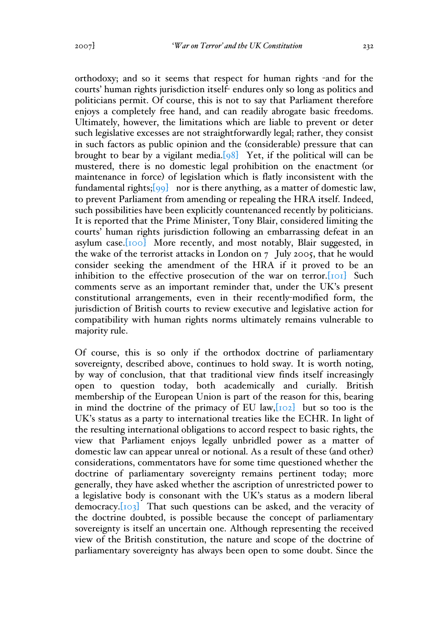orthodoxy; and so it seems that respect for human rights -and for the courts' human rights jurisdiction itself- endures only so long as politics and politicians permit. Of course, this is not to say that Parliament therefore enjoys a completely free hand, and can readily abrogate basic freedoms. Ultimately, however, the limitations which are liable to prevent or deter such legislative excesses are not straightforwardly legal; rather, they consist in such factors as public opinion and the (considerable) pressure that can brought to bear by a vigilant media.[98] Yet, if the political will can be mustered, there is no domestic legal prohibition on the enactment (or maintenance in force) of legislation which is flatly inconsistent with the fundamental rights; $[99]$  nor is there anything, as a matter of domestic law, to prevent Parliament from amending or repealing the HRA itself. Indeed, such possibilities have been explicitly countenanced recently by politicians. It is reported that the Prime Minister, Tony Blair, considered limiting the courts' human rights jurisdiction following an embarrassing defeat in an asylum case.[100] More recently, and most notably, Blair suggested, in the wake of the terrorist attacks in London on 7 July 2005, that he would consider seeking the amendment of the HRA if it proved to be an inhibition to the effective prosecution of the war on terror. $[101]$  Such comments serve as an important reminder that, under the UK's present constitutional arrangements, even in their recently-modified form, the jurisdiction of British courts to review executive and legislative action for compatibility with human rights norms ultimately remains vulnerable to majority rule.

Of course, this is so only if the orthodox doctrine of parliamentary sovereignty, described above, continues to hold sway. It is worth noting, by way of conclusion, that that traditional view finds itself increasingly open to question today, both academically and curially. British membership of the European Union is part of the reason for this, bearing in mind the doctrine of the primacy of EU law,  $[102]$  but so too is the UK's status as a party to international treaties like the ECHR. In light of the resulting international obligations to accord respect to basic rights, the view that Parliament enjoys legally unbridled power as a matter of domestic law can appear unreal or notional. As a result of these (and other) considerations, commentators have for some time questioned whether the doctrine of parliamentary sovereignty remains pertinent today; more generally, they have asked whether the ascription of unrestricted power to a legislative body is consonant with the UK's status as a modern liberal democracy.<sup>[103]</sup> That such questions can be asked, and the veracity of the doctrine doubted, is possible because the concept of parliamentary sovereignty is itself an uncertain one. Although representing the received view of the British constitution, the nature and scope of the doctrine of parliamentary sovereignty has always been open to some doubt. Since the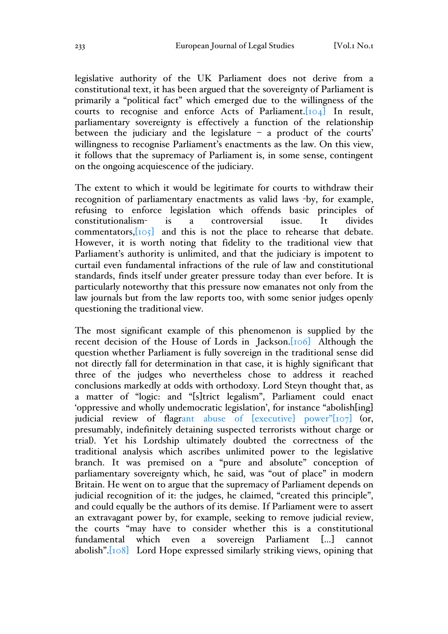legislative authority of the UK Parliament does not derive from a constitutional text, it has been argued that the sovereignty of Parliament is primarily a "political fact" which emerged due to the willingness of the courts to recognise and enforce Acts of Parliament.[104] In result, parliamentary sovereignty is effectively a function of the relationship between the judiciary and the legislature – a product of the courts' willingness to recognise Parliament's enactments as the law. On this view, it follows that the supremacy of Parliament is, in some sense, contingent on the ongoing acquiescence of the judiciary.

The extent to which it would be legitimate for courts to withdraw their recognition of parliamentary enactments as valid laws -by, for example, refusing to enforce legislation which offends basic principles of constitutionalism- is a controversial issue. It divides constitutionalism- is a controversial issue. It divides commentators, $[105]$  and this is not the place to rehearse that debate. However, it is worth noting that fidelity to the traditional view that Parliament's authority is unlimited, and that the judiciary is impotent to curtail even fundamental infractions of the rule of law and constitutional standards, finds itself under greater pressure today than ever before. It is particularly noteworthy that this pressure now emanates not only from the law journals but from the law reports too, with some senior judges openly questioning the traditional view.

The most significant example of this phenomenon is supplied by the recent decision of the House of Lords in Jackson.[106] Although the question whether Parliament is fully sovereign in the traditional sense did not directly fall for determination in that case, it is highly significant that three of the judges who nevertheless chose to address it reached conclusions markedly at odds with orthodoxy. Lord Steyn thought that, as a matter of "logic: and "[s]trict legalism", Parliament could enact 'oppressive and wholly undemocratic legislation', for instance "abolish[ing] judicial review of flagrant abuse of [executive] power"[107] (or, presumably, indefinitely detaining suspected terrorists without charge or trial). Yet his Lordship ultimately doubted the correctness of the traditional analysis which ascribes unlimited power to the legislative branch. It was premised on a "pure and absolute" conception of parliamentary sovereignty which, he said, was "out of place" in modern Britain. He went on to argue that the supremacy of Parliament depends on judicial recognition of it: the judges, he claimed, "created this principle", and could equally be the authors of its demise. If Parliament were to assert an extravagant power by, for example, seeking to remove judicial review, the courts "may have to consider whether this is a constitutional fundamental which even a sovereign Parliament […] cannot abolish".[108] Lord Hope expressed similarly striking views, opining that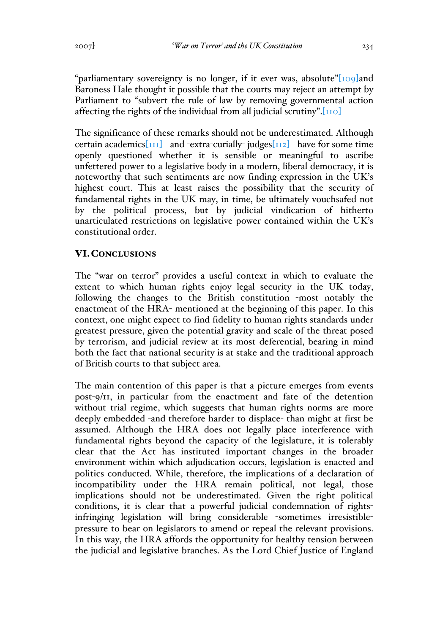"parliamentary sovereignty is no longer, if it ever was, absolute" $[109]$ and Baroness Hale thought it possible that the courts may reject an attempt by Parliament to "subvert the rule of law by removing governmental action affecting the rights of the individual from all judicial scrutiny".[110]

The significance of these remarks should not be underestimated. Although certain academics $\begin{bmatrix} 1 & 1 \end{bmatrix}$  and -extra-curially-judges $\begin{bmatrix} 1 & 1 \end{bmatrix}$  have for some time openly questioned whether it is sensible or meaningful to ascribe unfettered power to a legislative body in a modern, liberal democracy, it is noteworthy that such sentiments are now finding expression in the UK's highest court. This at least raises the possibility that the security of fundamental rights in the UK may, in time, be ultimately vouchsafed not by the political process, but by judicial vindication of hitherto unarticulated restrictions on legislative power contained within the UK's constitutional order.

# VI.CONCLUSIONS

The "war on terror" provides a useful context in which to evaluate the extent to which human rights enjoy legal security in the UK today, following the changes to the British constitution -most notably the enactment of the HRA- mentioned at the beginning of this paper. In this context, one might expect to find fidelity to human rights standards under greatest pressure, given the potential gravity and scale of the threat posed by terrorism, and judicial review at its most deferential, bearing in mind both the fact that national security is at stake and the traditional approach of British courts to that subject area.

The main contention of this paper is that a picture emerges from events post-9/11, in particular from the enactment and fate of the detention without trial regime, which suggests that human rights norms are more deeply embedded -and therefore harder to displace- than might at first be assumed. Although the HRA does not legally place interference with fundamental rights beyond the capacity of the legislature, it is tolerably clear that the Act has instituted important changes in the broader environment within which adjudication occurs, legislation is enacted and politics conducted. While, therefore, the implications of a declaration of incompatibility under the HRA remain political, not legal, those implications should not be underestimated. Given the right political conditions, it is clear that a powerful judicial condemnation of rightsinfringing legislation will bring considerable -sometimes irresistiblepressure to bear on legislators to amend or repeal the relevant provisions. In this way, the HRA affords the opportunity for healthy tension between the judicial and legislative branches. As the Lord Chief Justice of England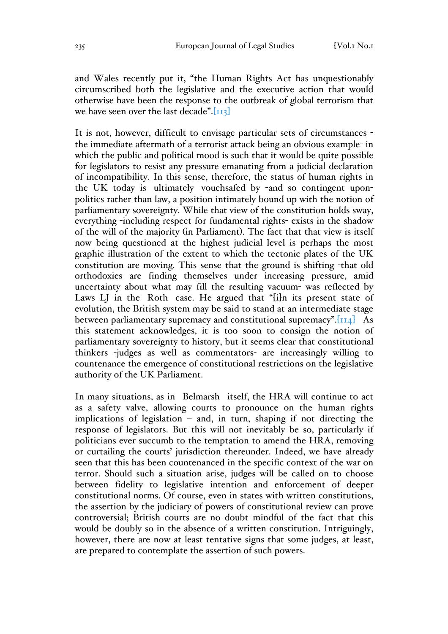and Wales recently put it, "the Human Rights Act has unquestionably circumscribed both the legislative and the executive action that would otherwise have been the response to the outbreak of global terrorism that we have seen over the last decade". $[I_{II3}]$ 

It is not, however, difficult to envisage particular sets of circumstances the immediate aftermath of a terrorist attack being an obvious example- in which the public and political mood is such that it would be quite possible for legislators to resist any pressure emanating from a judicial declaration of incompatibility. In this sense, therefore, the status of human rights in the UK today is ultimately vouchsafed by -and so contingent uponpolitics rather than law, a position intimately bound up with the notion of parliamentary sovereignty. While that view of the constitution holds sway, everything -including respect for fundamental rights- exists in the shadow of the will of the majority (in Parliament). The fact that that view is itself now being questioned at the highest judicial level is perhaps the most graphic illustration of the extent to which the tectonic plates of the UK constitution are moving. This sense that the ground is shifting -that old orthodoxies are finding themselves under increasing pressure, amid uncertainty about what may fill the resulting vacuum- was reflected by Laws LJ in the Roth case. He argued that "[i]n its present state of evolution, the British system may be said to stand at an intermediate stage between parliamentary supremacy and constitutional supremacy". $\begin{bmatrix} 1 & 1 & 1 \\ 1 & 1 & 1 \end{bmatrix}$  As this statement acknowledges, it is too soon to consign the notion of parliamentary sovereignty to history, but it seems clear that constitutional thinkers -judges as well as commentators- are increasingly willing to countenance the emergence of constitutional restrictions on the legislative authority of the UK Parliament.

In many situations, as in Belmarsh itself, the HRA will continue to act as a safety valve, allowing courts to pronounce on the human rights implications of legislation – and, in turn, shaping if not directing the response of legislators. But this will not inevitably be so, particularly if politicians ever succumb to the temptation to amend the HRA, removing or curtailing the courts' jurisdiction thereunder. Indeed, we have already seen that this has been countenanced in the specific context of the war on terror. Should such a situation arise, judges will be called on to choose between fidelity to legislative intention and enforcement of deeper constitutional norms. Of course, even in states with written constitutions, the assertion by the judiciary of powers of constitutional review can prove controversial; British courts are no doubt mindful of the fact that this would be doubly so in the absence of a written constitution. Intriguingly, however, there are now at least tentative signs that some judges, at least, are prepared to contemplate the assertion of such powers.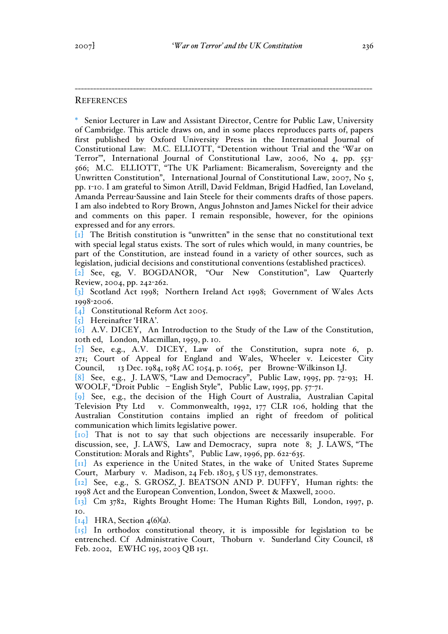#### **REFERENCES**

\* Senior Lecturer in Law and Assistant Director, Centre for Public Law, University of Cambridge. This article draws on, and in some places reproduces parts of, papers first published by Oxford University Press in the International Journal of Constitutional Law: M.C. ELLIOTT, "Detention without Trial and the 'War on Terror'", International Journal of Constitutional Law, 2006, No 4, pp. 553- 566; M.C. ELLIOTT, "The UK Parliament: Bicameralism, Sovereignty and the Unwritten Constitution", International Journal of Constitutional Law, 2007, No 5, pp. 1-10. I am grateful to Simon Atrill, David Feldman, Brigid Hadfied, Ian Loveland, Amanda Perreau-Saussine and Iain Steele for their comments drafts of those papers. I am also indebted to Rory Brown, Angus Johnston and James Nickel for their advice and comments on this paper. I remain responsible, however, for the opinions expressed and for any errors.

-------------------------------------------------------------------------------------------------

[1] The British constitution is "unwritten" in the sense that no constitutional text with special legal status exists. The sort of rules which would, in many countries, be part of the Constitution, are instead found in a variety of other sources, such as legislation, judicial decisions and constitutional conventions (established practices).

[2] See, eg, V. BOGDANOR, "Our New Constitution", Law Quarterly Review, 2004, pp. 242-262.

[3] Scotland Act 1998; Northern Ireland Act 1998; Government of Wales Acts 1998-2006.

[4] Constitutional Reform Act 2005.

[5] Hereinafter 'HRA'.

[6] A.V. DICEY, An Introduction to the Study of the Law of the Constitution, 10th ed, London, Macmillan, 1959, p. 10.

[7] See, e.g., A.V. DICEY, Law of the Constitution, supra note 6, p. 271; Court of Appeal for England and Wales, Wheeler v. Leicester City Council, 13 Dec. 1984, 1985 AC 1054, p. 1065, per Browne-Wilkinson LJ.

[8] See, e.g., J. LAWS, "Law and Democracy", Public Law, 1995, pp. 72-93; H. WOOLF, "Droit Public – English Style", Public Law, 1995, pp. 57-71.

[9] See, e.g., the decision of the High Court of Australia, Australian Capital Television Pty Ltd v. Commonwealth, 1992, 177 CLR 106, holding that the Australian Constitution contains implied an right of freedom of political communication which limits legislative power.

[10] That is not to say that such objections are necessarily insuperable. For discussion, see, J. LAWS, Law and Democracy, supra note 8; J. LAWS, "The Constitution: Morals and Rights", Public Law, 1996, pp. 622-635.

[11] As experience in the United States, in the wake of United States Supreme Court, Marbury v. Madison, 24 Feb. 1803, 5 US 137, demonstrates.

[12] See, e.g., S. GROSZ, J. BEATSON AND P. DUFFY, Human rights: the 1998 Act and the European Convention, London, Sweet & Maxwell, 2000.

[13] Cm 3782, Rights Brought Home: The Human Rights Bill, London, 1997, p. 10.

 $\begin{bmatrix} 1 & 4 \end{bmatrix}$  HRA, Section 4(6)(a).

[15] In orthodox constitutional theory, it is impossible for legislation to be entrenched. Cf Administrative Court, Thoburn v. Sunderland City Council, 18 Feb. 2002, EWHC 195, 2003 QB 151.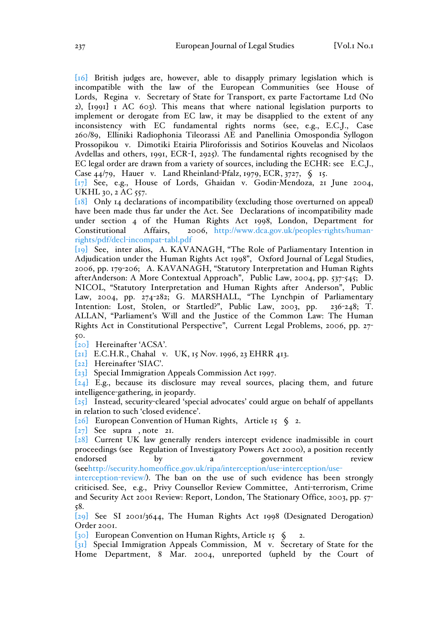[16] British judges are, however, able to disapply primary legislation which is incompatible with the law of the European Communities (see House of Lords, Regina v. Secretary of State for Transport, ex parte Factortame Ltd (No 2), [1991] 1 AC 603). This means that where national legislation purports to implement or derogate from EC law, it may be disapplied to the extent of any inconsistency with EC fundamental rights norms (see, e.g., E.C.J., Case 260/89, Elliniki Radiophonia Tileorassi AE and Panellinia Omospondia Syllogon Prossopikou v. Dimotiki Etairia Pliroforissis and Sotirios Kouvelas and Nicolaos Avdellas and others, 1991, ECR-I, 2925). The fundamental rights recognised by the EC legal order are drawn from a variety of sources, including the ECHR: see E.C.J., Case 44/79, Hauer v. Land Rheinland-Pfalz, 1979, ECR, 3727, § 15.

[17] See, e.g., House of Lords, Ghaidan v. Godin-Mendoza, 21 June 2004, UKHL 30, 2 AC 557.

[18] Only 14 declarations of incompatibility (excluding those overturned on appeal) have been made thus far under the Act. See Declarations of incompatibility made under section 4 of the Human Rights Act 1998, London, Department for Constitutional Affairs, 2006, http://www.dca.gov.uk/peoples-rights/humanrights/pdf/decl-incompat-tabl.pdf

[19] See, inter alios, A. KAVANAGH, "The Role of Parliamentary Intention in Adjudication under the Human Rights Act 1998", Oxford Journal of Legal Studies, 2006, pp. 179-206; A. KAVANAGH, "Statutory Interpretation and Human Rights afterAnderson: A More Contextual Approach", Public Law, 2004, pp. 537-545; D. NICOL, "Statutory Interpretation and Human Rights after Anderson", Public Law, 2004, pp. 274-282; G. MARSHALL, "The Lynchpin of Parliamentary Intention: Lost, Stolen, or Startled?", Public Law, 2003, pp. 236-248; T. ALLAN, "Parliament's Will and the Justice of the Common Law: The Human Rights Act in Constitutional Perspective", Current Legal Problems, 2006, pp. 27- 50.

[20] Hereinafter 'ACSA'.

[21] E.C.H.R., Chahal v. UK, 15 Nov. 1996, 23 EHRR 413.

[22] Hereinafter 'SIAC'.

[23] Special Immigration Appeals Commission Act 1997.

[24] E.g., because its disclosure may reveal sources, placing them, and future intelligence-gathering, in jeopardy.

 $\overline{[25]}$  Instead, security-cleared 'special advocates' could argue on behalf of appellants in relation to such 'closed evidence'.

[26] European Convention of Human Rights, Article 15 § 2.

[27] See supra , note 21.

[28] Current UK law generally renders intercept evidence inadmissible in court proceedings (see Regulation of Investigatory Powers Act 2000), a position recently endorsed by a government review (seehttp://security.homeoffice.gov.uk/ripa/interception/use-interception/use-

interception-review/). The ban on the use of such evidence has been strongly criticised. See, e.g., Privy Counsellor Review Committee, Anti-terrorism, Crime and Security Act 2001 Review: Report, London, The Stationary Office, 2003, pp. 57- 58.

[29] See SI 2001/3644, The Human Rights Act 1998 (Designated Derogation) Order 2001.

[30] European Convention on Human Rights, Article 15 § 2.

[31] Special Immigration Appeals Commission, M v. Secretary of State for the Home Department, 8 Mar. 2004, unreported (upheld by the Court of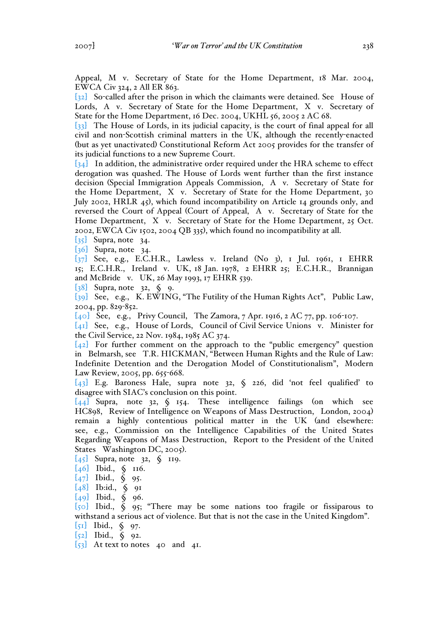Appeal, M v. Secretary of State for the Home Department, 18 Mar. 2004, EWCA Civ 324, 2 All ER 863.

[32] So-called after the prison in which the claimants were detained. See House of Lords, A v. Secretary of State for the Home Department, X v. Secretary of State for the Home Department, 16 Dec. 2004, UKHL 56, 2005 2 AC 68.

[33] The House of Lords, in its judicial capacity, is the court of final appeal for all civil and non-Scottish criminal matters in the UK, although the recently-enacted (but as yet unactivated) Constitutional Reform Act 2005 provides for the transfer of its judicial functions to a new Supreme Court.

 $\overline{[34]}$  In addition, the administrative order required under the HRA scheme to effect derogation was quashed. The House of Lords went further than the first instance decision (Special Immigration Appeals Commission, A v. Secretary of State for the Home Department, X v. Secretary of State for the Home Department, 30 July 2002, HRLR 45), which found incompatibility on Article 14 grounds only, and reversed the Court of Appeal (Court of Appeal, A v. Secretary of State for the Home Department, X v. Secretary of State for the Home Department, 25 Oct. 2002, EWCA Civ 1502, 2004 QB 335), which found no incompatibility at all.

 $\begin{bmatrix} 35 \end{bmatrix}$  Supra, note 34.

[36] Supra, note 34.

[37] See, e.g., E.C.H.R., Lawless v. Ireland (No 3), 1 Jul. 1961, 1 EHRR 15; E.C.H.R., Ireland v. UK, 18 Jan. 1978, 2 EHRR 25; E.C.H.R., Brannigan and McBride v. UK, 26 May 1993, 17 EHRR 539.

[38] Supra, note 32, § 9.

[39] See, e.g., K. EWING, "The Futility of the Human Rights Act", Public Law, 2004, pp. 829-852.

[40] See, e.g., Privy Council, The Zamora, 7 Apr. 1916, 2 AC 77, pp. 106-107.

[41] See, e.g., House of Lords, Council of Civil Service Unions v. Minister for the Civil Service, 22 Nov. 1984, 1985 AC 374.

 $[42]$  For further comment on the approach to the "public emergency" question in Belmarsh, see T.R. HICKMAN, "Between Human Rights and the Rule of Law: Indefinite Detention and the Derogation Model of Constitutionalism", Modern Law Review, 2005, pp. 655-668.

 $\overline{\{43\}}$  E.g. Baroness Hale, supra note 32,  $\zeta$  226, did 'not feel qualified' to disagree with SIAC's conclusion on this point.

 $\overline{\{44\}}$  Supra, note 32, § 154. These intelligence failings (on which see HC898, Review of Intelligence on Weapons of Mass Destruction, London, 2004) remain a highly contentious political matter in the UK (and elsewhere: see, e.g., Commission on the Intelligence Capabilities of the United States Regarding Weapons of Mass Destruction, Report to the President of the United States Washington DC, 2005).

 $[45]$  Supra, note 32,  $\oint$  119.

- [46] Ibid., § 116.
- [47] Ibid., § 95.
- $[48]$  Ib:id.,  $\S$  91
- $[49]$  Ibid.,  $\S$  96.

[50] Ibid., § 95; "There may be some nations too fragile or fissiparous to withstand a serious act of violence. But that is not the case in the United Kingdom".

[51] Ibid., § 97.

- [52] Ibid., § 92.
- $\begin{bmatrix} 53 \end{bmatrix}$  At text to notes 40 and 41.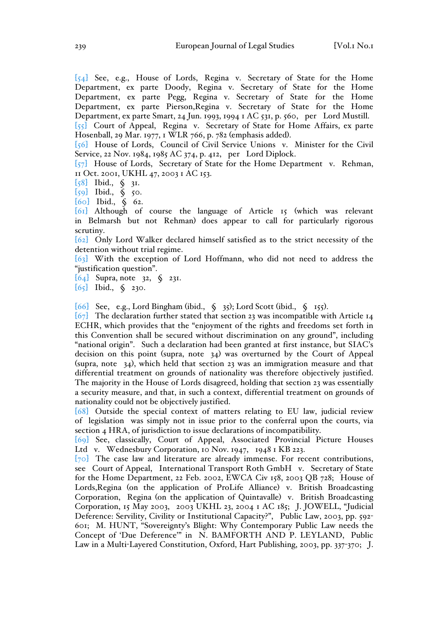[54] See, e.g., House of Lords, Regina v. Secretary of State for the Home Department, ex parte Doody, Regina v. Secretary of State for the Home Department, ex parte Pegg, Regina v. Secretary of State for the Home Department, ex parte Pierson,Regina v. Secretary of State for the Home Department, ex parte Smart, 24 Jun. 1993, 1994 1 AC 531, p. 560, per Lord Mustill. [55] Court of Appeal, Regina v. Secretary of State for Home Affairs, ex parte Hosenball, 29 Mar. 1977, 1 WLR 766, p. 782 (emphasis added).

[56] House of Lords, Council of Civil Service Unions v. Minister for the Civil Service, 22 Nov. 1984, 1985 AC 374, p. 412, per Lord Diplock.

[57] House of Lords, Secretary of State for the Home Department v. Rehman, 11 Oct. 2001, UKHL 47, 2003 1 AC 153.

[58] Ibid., § 31.

[59] Ibid., § 50.

[60] Ibid., § 62.

[61] Although of course the language of Article 15 (which was relevant in Belmarsh but not Rehman) does appear to call for particularly rigorous scrutiny.

[62] Only Lord Walker declared himself satisfied as to the strict necessity of the detention without trial regime.

[63] With the exception of Lord Hoffmann, who did not need to address the "justification question".

[64] Supra, note 32, § 231.

[65] Ibid., § 230.

[66] See, e.g., Lord Bingham (ibid., § 35); Lord Scott (ibid., § 155).

 $\overline{\{67\}}$  The declaration further stated that section 23 was incompatible with Article 14 ECHR, which provides that the "enjoyment of the rights and freedoms set forth in this Convention shall be secured without discrimination on any ground", including "national origin". Such a declaration had been granted at first instance, but SIAC's decision on this point (supra, note 34) was overturned by the Court of Appeal (supra, note 34), which held that section 23 was an immigration measure and that differential treatment on grounds of nationality was therefore objectively justified. The majority in the House of Lords disagreed, holding that section 23 was essentially a security measure, and that, in such a context, differential treatment on grounds of nationality could not be objectively justified.

[68] Outside the special context of matters relating to EU law, judicial review of legislation was simply not in issue prior to the conferral upon the courts, via section 4 HRA, of jurisdiction to issue declarations of incompatibility.

[69] See, classically, Court of Appeal, Associated Provincial Picture Houses Ltd v. Wednesbury Corporation, 10 Nov. 1947, 1948 1 KB 223.

[70] The case law and literature are already immense. For recent contributions, see Court of Appeal, International Transport Roth GmbH v. Secretary of State for the Home Department, 22 Feb. 2002, EWCA Civ 158, 2003 QB 728; House of Lords,Regina (on the application of ProLife Alliance) v. British Broadcasting Corporation, Regina (on the application of Quintavalle) v. British Broadcasting Corporation, 15 May 2003, 2003 UKHL 23, 2004 1 AC 185; J. JOWELL, "Judicial Deference: Servility, Civility or Institutional Capacity?", Public Law, 2003, pp. 592- 601; M. HUNT, "Sovereignty's Blight: Why Contemporary Public Law needs the Concept of 'Due Deference'" in N. BAMFORTH AND P. LEYLAND, Public Law in a Multi-Layered Constitution, Oxford, Hart Publishing, 2003, pp. 337-370; J.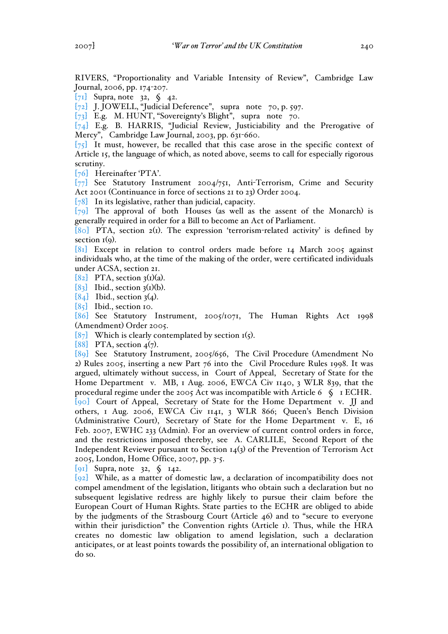RIVERS, "Proportionality and Variable Intensity of Review", Cambridge Law Journal, 2006, pp. 174-207.

[71] Supra, note 32,  $\oint$  42.

[72] J. JOWELL, "Judicial Deference", supra note 70, p. 597.

[73] E.g. M. HUNT, "Sovereignty's Blight", supra note 70.

[74] E.g. B. HARRIS, "Judicial Review, Justiciability and the Prerogative of Mercy", Cambridge Law Journal, 2003, pp. 631-660.

 $[75]$  It must, however, be recalled that this case arose in the specific context of Article 15, the language of which, as noted above, seems to call for especially rigorous scrutiny.

[76] Hereinafter 'PTA'.

[77] See Statutory Instrument 2004/751, Anti-Terrorism, Crime and Security Act 2001 (Continuance in force of sections 21 to 23) Order 2004.

[78] In its legislative, rather than judicial, capacity.

 $[79]$  The approval of both Houses (as well as the assent of the Monarch) is generally required in order for a Bill to become an Act of Parliament.

[80] PTA, section 2(1). The expression 'terrorism-related activity' is defined by section  $I(q)$ .

[81] Except in relation to control orders made before 14 March 2005 against individuals who, at the time of the making of the order, were certificated individuals under ACSA, section 21.

 $[82]$  PTA, section 3(1)(a).

 $[83]$  Ibid., section 3(1)(b).

 $[84]$  Ibid., section 3(4).

 $[85]$  Ibid., section 10.

[86] See Statutory Instrument, 2005/1071, The Human Rights Act 1998 (Amendment) Order 2005.

[87] Which is clearly contemplated by section  $I(5)$ .

[88] PTA, section  $4(7)$ .

[89] See Statutory Instrument, 2005/656, The Civil Procedure (Amendment No 2) Rules 2005, inserting a new Part 76 into the Civil Procedure Rules 1998. It was argued, ultimately without success, in Court of Appeal, Secretary of State for the Home Department v. MB, 1 Aug. 2006, EWCA Civ 1140, 3 WLR 839, that the procedural regime under the 2005 Act was incompatible with Article 6  $\Diamond$  1 ECHR. [90] Court of Appeal, Secretary of State for the Home Department v. JJ and others, 1 Aug. 2006, EWCA Civ 1141, 3 WLR 866; Queen's Bench Division (Administrative Court), Secretary of State for the Home Department v. E, 16 Feb. 2007, EWHC 233 (Admin). For an overview of current control orders in force, and the restrictions imposed thereby, see A. CARLILE, Second Report of the Independent Reviewer pursuant to Section 14(3) of the Prevention of Terrorism Act 2005, London, Home Office, 2007, pp. 3-5.

[91] Supra, note 32, § 142.

[92] While, as a matter of domestic law, a declaration of incompatibility does not compel amendment of the legislation, litigants who obtain such a declaration but no subsequent legislative redress are highly likely to pursue their claim before the European Court of Human Rights. State parties to the ECHR are obliged to abide by the judgments of the Strasbourg Court (Article 46) and to "secure to everyone within their jurisdiction" the Convention rights (Article 1). Thus, while the HRA creates no domestic law obligation to amend legislation, such a declaration anticipates, or at least points towards the possibility of, an international obligation to do so.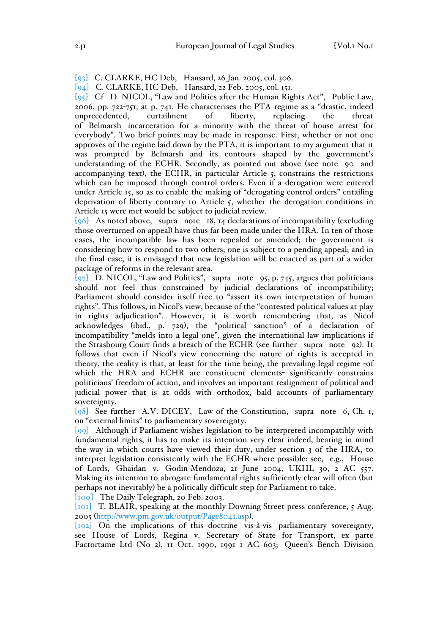- [93] C. CLARKE, HC Deb, Hansard, 26 Jan. 2005, col. 306.
- [94] C. CLARKE, HC Deb, Hansard, 22 Feb. 2005, col. 151.

[95] Cf D. NICOL, "Law and Politics after the Human Rights Act", Public Law, 2006, pp. 722-751, at p. 741. He characterises the PTA regime as a "drastic, indeed unprecedented, curtailment of liberty, replacing the threat of Belmarsh incarceration for a minority with the threat of house arrest for everybody". Two brief points may be made in response. First, whether or not one approves of the regime laid down by the PTA, it is important to my argument that it was prompted by Belmarsh and its contours shaped by the government's understanding of the ECHR. Secondly, as pointed out above (see note 90 and accompanying text), the ECHR, in particular Article 5, constrains the restrictions which can be imposed through control orders. Even if a derogation were entered under Article 15, so as to enable the making of "derogating control orders" entailing deprivation of liberty contrary to Article 5, whether the derogation conditions in Article 15 were met would be subject to judicial review.

 $[96]$  As noted above, supra note 18, 14 declarations of incompatibility (excluding those overturned on appeal) have thus far been made under the HRA. In ten of those cases, the incompatible law has been repealed or amended; the government is considering how to respond to two others; one is subject to a pending appeal; and in the final case, it is envisaged that new legislation will be enacted as part of a wider package of reforms in the relevant area.

 $\overline{97}$  D. NICOL, "Law and Politics", supra note 95, p. 745, argues that politicians should not feel thus constrained by judicial declarations of incompatibility; Parliament should consider itself free to "assert its own interpretation of human rights". This follows, in Nicol's view, because of the "contested political values at play in rights adjudication". However, it is worth remembering that, as Nicol acknowledges (ibid., p. 729), the "political sanction" of a declaration of incompatibility "melds into a legal one", given the international law implications if the Strasbourg Court finds a breach of the ECHR (see further supra note 92). It follows that even if Nicol's view concerning the nature of rights is accepted in theory, the reality is that, at least for the time being, the prevailing legal regime -of which the HRA and ECHR are constituent elements- significantly constrains politicians' freedom of action, and involves an important realignment of political and judicial power that is at odds with orthodox, bald accounts of parliamentary sovereignty.

 $\left[98\right]$  See further A.V. DICEY, Law of the Constitution, supra note 6, Ch. 1, on "external limits" to parliamentary sovereignty.

[99] Although if Parliament wishes legislation to be interpreted incompatibly with fundamental rights, it has to make its intention very clear indeed, bearing in mind the way in which courts have viewed their duty, under section 3 of the HRA, to interpret legislation consistently with the ECHR where possible: see, e.g., House of Lords, Ghaidan v. Godin-Mendoza, 21 June 2004, UKHL 30, 2 AC 557. Making its intention to abrogate fundamental rights sufficiently clear will often (but perhaps not inevitably) be a politically difficult step for Parliament to take.

[100] The Daily Telegraph, 20 Feb. 2003.

[101] T. BLAIR, speaking at the monthly Downing Street press conference, 5 Aug. 2005 (http://www.pm.gov.uk/output/Page8041.asp).

[102] On the implications of this doctrine vis-à-vis parliamentary sovereignty, see House of Lords, Regina v. Secretary of State for Transport, ex parte Factortame Ltd (No 2), 11 Oct. 1990, 1991 1 AC 603; Queen's Bench Division